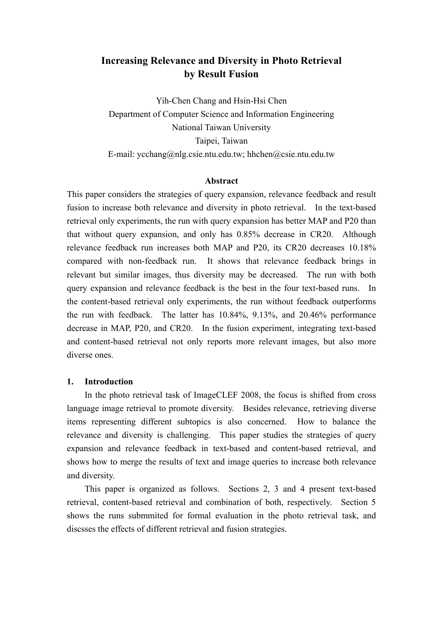# **Increasing Relevance and Diversity in Photo Retrieval by Result Fusion**

Yih-Chen Chang and Hsin-Hsi Chen Department of Computer Science and Information Engineering National Taiwan University Taipei, Taiwan E-mail: ycchang@nlg.csie.ntu.edu.tw; hhchen@csie.ntu.edu.tw

#### **Abstract**

This paper considers the strategies of query expansion, relevance feedback and result fusion to increase both relevance and diversity in photo retrieval. In the text-based retrieval only experiments, the run with query expansion has better MAP and P20 than that without query expansion, and only has 0.85% decrease in CR20. Although relevance feedback run increases both MAP and P20, its CR20 decreases 10.18% compared with non-feedback run. It shows that relevance feedback brings in relevant but similar images, thus diversity may be decreased. The run with both query expansion and relevance feedback is the best in the four text-based runs. In the content-based retrieval only experiments, the run without feedback outperforms the run with feedback. The latter has 10.84%, 9.13%, and 20.46% performance decrease in MAP, P20, and CR20. In the fusion experiment, integrating text-based and content-based retrieval not only reports more relevant images, but also more diverse ones.

#### **1. Introduction**

In the photo retrieval task of ImageCLEF 2008, the focus is shifted from cross language image retrieval to promote diversity. Besides relevance, retrieving diverse items representing different subtopics is also concerned. How to balance the relevance and diversity is challenging. This paper studies the strategies of query expansion and relevance feedback in text-based and content-based retrieval, and shows how to merge the results of text and image queries to increase both relevance and diversity.

This paper is organized as follows. Sections 2, 3 and 4 present text-based retrieval, content-based retrieval and combination of both, respectively. Section 5 shows the runs submmited for formal evaluation in the photo retrieval task, and discsses the effects of different retrieval and fusion strategies.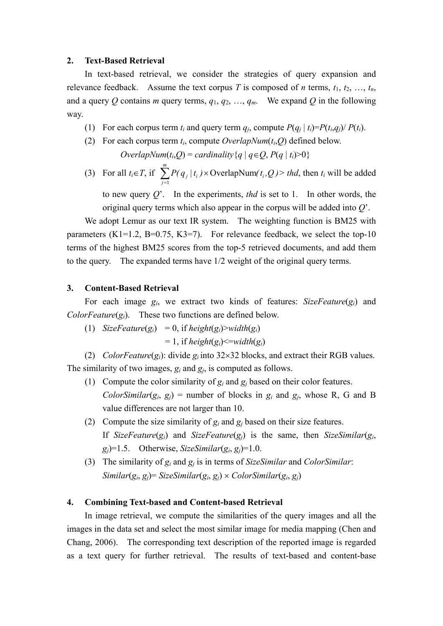#### **2. Text-Based Retrieval**

In text-based retrieval, we consider the strategies of query expansion and relevance feedback. Assume the text corpus *T* is composed of *n* terms,  $t_1, t_2, ..., t_n$ , and a query Q contains *m* query terms,  $q_1, q_2, ..., q_m$ . We expand Q in the following way.

- (1) For each corpus term  $t_i$  and query term  $q_i$ , compute  $P(q_i | t_i) = P(t_i, q_i) / P(t_i)$ .
- (2) For each corpus term  $t_i$ , compute *OverlapNum*( $t_i$ , $Q$ ) defined below. *OverlapNum*( $t_i$ , $Q$ ) = *cardinality*{*q* |  $q \in Q$ ,  $P(q | t_i) > 0$ }
- (3) For all  $t_i \in T$ , if  $\sum_{j=1}^{m} P(q_j | t_i) \times \text{Overall}(t_i, Q) > thd$ , then  $t_i$  will be added *j*  $P(q_j | t_i) \times \text{OverallapNum}(t_i, Q)$ 1 **OverlapNum**

to new query *Q*'. In the experiments, *thd* is set to 1. In other words, the original query terms which also appear in the corpus will be added into *Q*'.

We adopt Lemur as our text IR system. The weighting function is BM25 with parameters  $(K1=1.2, B=0.75, K3=7)$ . For relevance feedback, we select the top-10 terms of the highest BM25 scores from the top-5 retrieved documents, and add them to the query. The expanded terms have 1/2 weight of the original query terms.

#### **3. Content-Based Retrieval**

For each image *gi*, we extract two kinds of features: *SizeFeature*(*gi*) and *ColorFeature* $(g_i)$ . These two functions are defined below.

(1) *SizeFeature*( $g_i$ ) = 0, if *height*( $g_i$ )>*width*( $g_i$ )

 $= 1$ , if *height*( $g_i$ )  $\leq$  *width*( $g_i$ )

(2) *ColorFeature*( $g_i$ ): divide  $g_i$  into 32×32 blocks, and extract their RGB values. The similarity of two images, *gi* and *gj*, is computed as follows.

- (1) Compute the color similarity of  $g_i$  and  $g_j$  based on their color features. *ColorSimilar*( $g_i$ ,  $g_j$ ) = number of blocks in  $g_i$  and  $g_j$ , whose R, G and B value differences are not larger than 10.
- (2) Compute the size similarity of  $g_i$  and  $g_j$  based on their size features. If *SizeFeature*( $g_i$ ) and *SizeFeature*( $g_i$ ) is the same, then *SizeSimilar*( $g_i$ ,  $g_i$ )=1.5. Otherwise, *SizeSimilar*( $g_i$ ,  $g_j$ )=1.0.
- (3) The similarity of *gi* and *gj* is in terms of *SizeSimilar* and *ColorSimilar*:  $Similar(g_i, g_j) = SizeSimilar(g_i, g_j) \times ColorSimilar(g_i, g_j)$

#### **4. Combining Text-based and Content-based Retrieval**

In image retrieval, we compute the similarities of the query images and all the images in the data set and select the most similar image for media mapping (Chen and Chang, 2006). The corresponding text description of the reported image is regarded as a text query for further retrieval. The results of text-based and content-base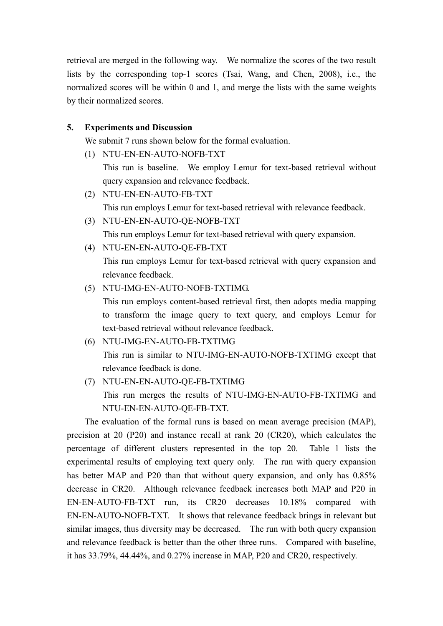retrieval are merged in the following way. We normalize the scores of the two result lists by the corresponding top-1 scores (Tsai, Wang, and Chen, 2008), i.e., the normalized scores will be within 0 and 1, and merge the lists with the same weights by their normalized scores.

# **5. Experiments and Discussion**

We submit 7 runs shown below for the formal evaluation.

(1) NTU-EN-EN-AUTO-NOFB-TXT

This run is baseline. We employ Lemur for text-based retrieval without query expansion and relevance feedback.

- (2) NTU-EN-EN-AUTO-FB-TXT This run employs Lemur for text-based retrieval with relevance feedback.
- (3) NTU-EN-EN-AUTO-QE-NOFB-TXT This run employs Lemur for text-based retrieval with query expansion.
- (4) NTU-EN-EN-AUTO-QE-FB-TXT

This run employs Lemur for text-based retrieval with query expansion and relevance feedback.

(5) NTU-IMG-EN-AUTO-NOFB-TXTIMG.

This run employs content-based retrieval first, then adopts media mapping to transform the image query to text query, and employs Lemur for text-based retrieval without relevance feedback.

- (6) NTU-IMG-EN-AUTO-FB-TXTIMG This run is similar to NTU-IMG-EN-AUTO-NOFB-TXTIMG except that relevance feedback is done.
- (7) NTU-EN-EN-AUTO-QE-FB-TXTIMG This run merges the results of NTU-IMG-EN-AUTO-FB-TXTIMG and NTU-EN-EN-AUTO-QE-FB-TXT.

The evaluation of the formal runs is based on mean average precision (MAP), precision at 20 (P20) and instance recall at rank 20 (CR20), which calculates the percentage of different clusters represented in the top 20. Table 1 lists the experimental results of employing text query only. The run with query expansion has better MAP and P20 than that without query expansion, and only has 0.85% decrease in CR20. Although relevance feedback increases both MAP and P20 in EN-EN-AUTO-FB-TXT run, its CR20 decreases 10.18% compared with EN-EN-AUTO-NOFB-TXT. It shows that relevance feedback brings in relevant but similar images, thus diversity may be decreased. The run with both query expansion and relevance feedback is better than the other three runs. Compared with baseline, it has 33.79%, 44.44%, and 0.27% increase in MAP, P20 and CR20, respectively.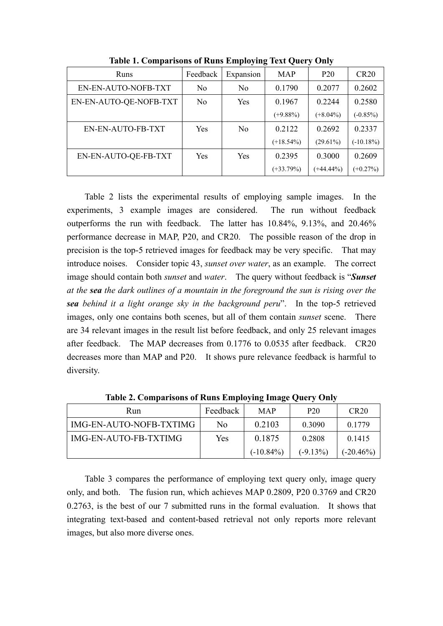| Runs                   | Feedback       | Expansion      | <b>MAP</b>   | P <sub>20</sub> | <b>CR20</b> |
|------------------------|----------------|----------------|--------------|-----------------|-------------|
| EN-EN-AUTO-NOFB-TXT    | N <sub>0</sub> | No             | 0.1790       | 0.2077          | 0.2602      |
| EN-EN-AUTO-QE-NOFB-TXT | No             | Yes            | 0.1967       | 0.2244          | 0.2580      |
|                        |                |                | $(+9.88\%)$  | $(+8.04\%)$     | $(-0.85\%)$ |
| EN-EN-AUTO-FB-TXT      | Yes            | N <sub>0</sub> | 0.2122       | 0.2692          | 0.2337      |
|                        |                |                | $(+18.54\%)$ | $(29.61\%)$     | $(-10.18%)$ |
| EN-EN-AUTO-QE-FB-TXT   | <b>Yes</b>     | Yes            | 0.2395       | 0.3000          | 0.2609      |
|                        |                |                | $(+33.79%)$  | $(+44.44\%)$    | $(+0.27\%)$ |

**Table 1. Comparisons of Runs Employing Text Query Only** 

Table 2 lists the experimental results of employing sample images. In the experiments, 3 example images are considered. The run without feedback outperforms the run with feedback. The latter has 10.84%, 9.13%, and 20.46% performance decrease in MAP, P20, and CR20. The possible reason of the drop in precision is the top-5 retrieved images for feedback may be very specific. That may introduce noises. Consider topic 43, *sunset over water*, as an example. The correct image should contain both *sunset* and *water*. The query without feedback is "*Sunset at the sea the dark outlines of a mountain in the foreground the sun is rising over the sea behind it a light orange sky in the background peru*". In the top-5 retrieved images, only one contains both scenes, but all of them contain *sunset* scene. There are 34 relevant images in the result list before feedback, and only 25 relevant images after feedback. The MAP decreases from 0.1776 to 0.0535 after feedback. CR20 decreases more than MAP and P20. It shows pure relevance feedback is harmful to diversity.

| Run                     | Feedback | <b>MAP</b>   | P <sub>20</sub> | CR20        |  |
|-------------------------|----------|--------------|-----------------|-------------|--|
| IMG-EN-AUTO-NOFB-TXTIMG | No.      | 0.2103       | 0.3090          | 0.1779      |  |
| IMG-EN-AUTO-FB-TXTIMG   | Yes      | 0.1875       | 0.2808          | 0.1415      |  |
|                         |          | $(-10.84\%)$ | $(-9.13%)$      | $(-20.46%)$ |  |

**Table 2. Comparisons of Runs Employing Image Query Only**

 Table 3 compares the performance of employing text query only, image query only, and both. The fusion run, which achieves MAP 0.2809, P20 0.3769 and CR20 0.2763, is the best of our 7 submitted runs in the formal evaluation. It shows that integrating text-based and content-based retrieval not only reports more relevant images, but also more diverse ones.